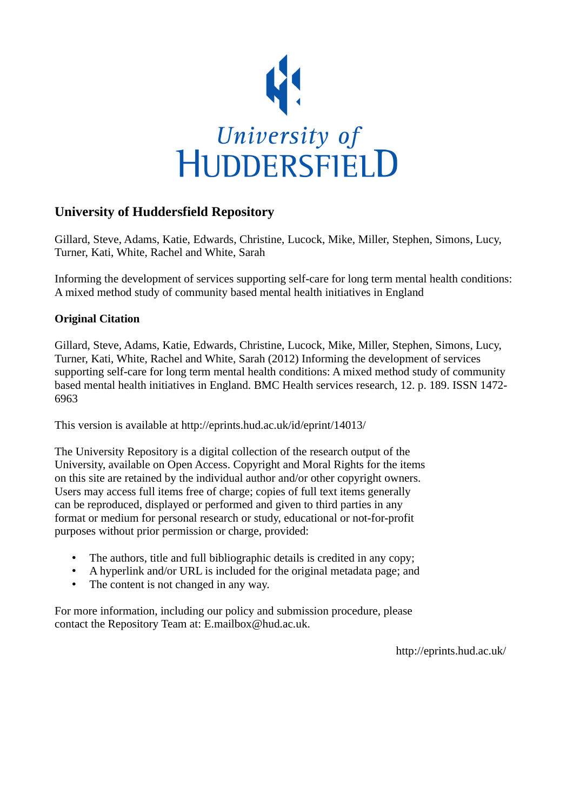

# **University of Huddersfield Repository**

Gillard, Steve, Adams, Katie, Edwards, Christine, Lucock, Mike, Miller, Stephen, Simons, Lucy, Turner, Kati, White, Rachel and White, Sarah

Informing the development of services supporting self-care for long term mental health conditions: A mixed method study of community based mental health initiatives in England

# **Original Citation**

Gillard, Steve, Adams, Katie, Edwards, Christine, Lucock, Mike, Miller, Stephen, Simons, Lucy, Turner, Kati, White, Rachel and White, Sarah (2012) Informing the development of services supporting self-care for long term mental health conditions: A mixed method study of community based mental health initiatives in England. BMC Health services research, 12. p. 189. ISSN 1472- 6963

This version is available at http://eprints.hud.ac.uk/id/eprint/14013/

The University Repository is a digital collection of the research output of the University, available on Open Access. Copyright and Moral Rights for the items on this site are retained by the individual author and/or other copyright owners. Users may access full items free of charge; copies of full text items generally can be reproduced, displayed or performed and given to third parties in any format or medium for personal research or study, educational or not-for-profit purposes without prior permission or charge, provided:

- The authors, title and full bibliographic details is credited in any copy;
- A hyperlink and/or URL is included for the original metadata page; and
- The content is not changed in any way.

For more information, including our policy and submission procedure, please contact the Repository Team at: E.mailbox@hud.ac.uk.

http://eprints.hud.ac.uk/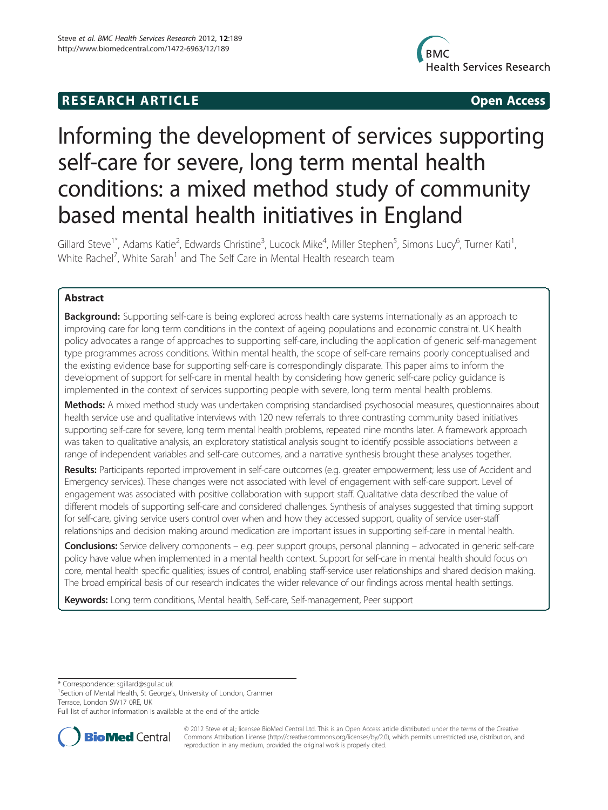# **RESEARCH ARTICLE CONSUMING A RESEARCH ARTICLE**



# Informing the development of services supporting self-care for severe, long term mental health conditions: a mixed method study of community based mental health initiatives in England

Gillard Steve<sup>1\*</sup>, Adams Katie<sup>2</sup>, Edwards Christine<sup>3</sup>, Lucock Mike<sup>4</sup>, Miller Stephen<sup>5</sup>, Simons Lucy<sup>6</sup>, Turner Kati<sup>1</sup> , White Rachel<sup>7</sup>, White Sarah<sup>1</sup> and The Self Care in Mental Health research team

# Abstract

**Background:** Supporting self-care is being explored across health care systems internationally as an approach to improving care for long term conditions in the context of ageing populations and economic constraint. UK health policy advocates a range of approaches to supporting self-care, including the application of generic self-management type programmes across conditions. Within mental health, the scope of self-care remains poorly conceptualised and the existing evidence base for supporting self-care is correspondingly disparate. This paper aims to inform the development of support for self-care in mental health by considering how generic self-care policy guidance is implemented in the context of services supporting people with severe, long term mental health problems.

Methods: A mixed method study was undertaken comprising standardised psychosocial measures, questionnaires about health service use and qualitative interviews with 120 new referrals to three contrasting community based initiatives supporting self-care for severe, long term mental health problems, repeated nine months later. A framework approach was taken to qualitative analysis, an exploratory statistical analysis sought to identify possible associations between a range of independent variables and self-care outcomes, and a narrative synthesis brought these analyses together.

Results: Participants reported improvement in self-care outcomes (e.g. greater empowerment; less use of Accident and Emergency services). These changes were not associated with level of engagement with self-care support. Level of engagement was associated with positive collaboration with support staff. Qualitative data described the value of different models of supporting self-care and considered challenges. Synthesis of analyses suggested that timing support for self-care, giving service users control over when and how they accessed support, quality of service user-staff relationships and decision making around medication are important issues in supporting self-care in mental health.

Conclusions: Service delivery components - e.g. peer support groups, personal planning - advocated in generic self-care policy have value when implemented in a mental health context. Support for self-care in mental health should focus on core, mental health specific qualities; issues of control, enabling staff-service user relationships and shared decision making. The broad empirical basis of our research indicates the wider relevance of our findings across mental health settings.

Keywords: Long term conditions, Mental health, Self-care, Self-management, Peer support

\* Correspondence: [sgillard@sgul.ac.uk](mailto:sgillard@sgul.ac.uk) <sup>1</sup>

<sup>1</sup> Section of Mental Health, St George's, University of London, Cranmer Terrace, London SW17 0RE, UK

Full list of author information is available at the end of the article



© 2012 Steve et al.; licensee BioMed Central Ltd. This is an Open Access article distributed under the terms of the Creative Commons Attribution License [\(http://creativecommons.org/licenses/by/2.0\)](http://creativecommons.org/licenses/by/2.0), which permits unrestricted use, distribution, and reproduction in any medium, provided the original work is properly cited.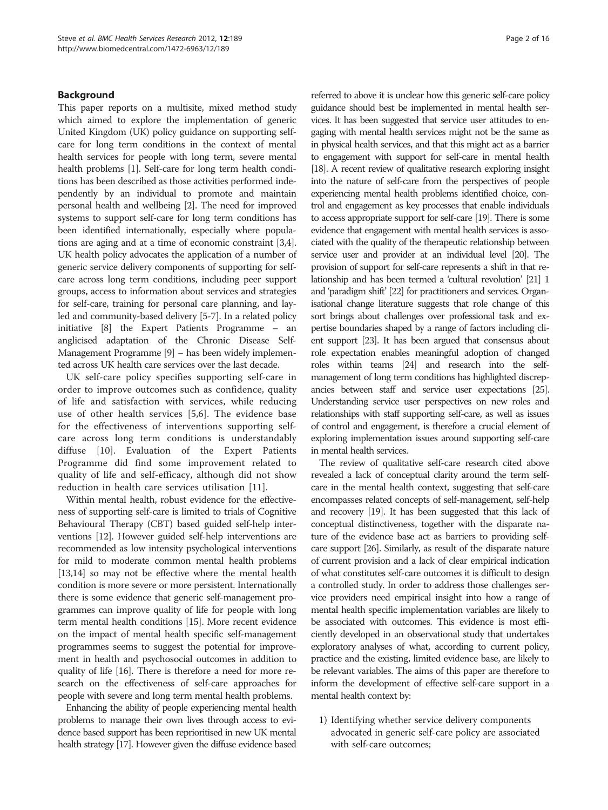#### Background

This paper reports on a multisite, mixed method study which aimed to explore the implementation of generic United Kingdom (UK) policy guidance on supporting selfcare for long term conditions in the context of mental health services for people with long term, severe mental health problems [\[1\]](#page-15-0). Self-care for long term health conditions has been described as those activities performed independently by an individual to promote and maintain personal health and wellbeing [\[2](#page-15-0)]. The need for improved systems to support self-care for long term conditions has been identified internationally, especially where populations are aging and at a time of economic constraint [[3,4](#page-15-0)]. UK health policy advocates the application of a number of generic service delivery components of supporting for selfcare across long term conditions, including peer support groups, access to information about services and strategies for self-care, training for personal care planning, and layled and community-based delivery [[5](#page-15-0)-[7\]](#page-15-0). In a related policy initiative [[8](#page-15-0)] the Expert Patients Programme – an anglicised adaptation of the Chronic Disease Self-Management Programme [[9](#page-15-0)] – has been widely implemented across UK health care services over the last decade.

UK self-care policy specifies supporting self-care in order to improve outcomes such as confidence, quality of life and satisfaction with services, while reducing use of other health services [\[5,6](#page-15-0)]. The evidence base for the effectiveness of interventions supporting selfcare across long term conditions is understandably diffuse [[10\]](#page-15-0). Evaluation of the Expert Patients Programme did find some improvement related to quality of life and self-efficacy, although did not show reduction in health care services utilisation [[11\]](#page-15-0).

Within mental health, robust evidence for the effectiveness of supporting self-care is limited to trials of Cognitive Behavioural Therapy (CBT) based guided self-help interventions [[12](#page-15-0)]. However guided self-help interventions are recommended as low intensity psychological interventions for mild to moderate common mental health problems [[13,14\]](#page-15-0) so may not be effective where the mental health condition is more severe or more persistent. Internationally there is some evidence that generic self-management programmes can improve quality of life for people with long term mental health conditions [\[15\]](#page-15-0). More recent evidence on the impact of mental health specific self-management programmes seems to suggest the potential for improvement in health and psychosocial outcomes in addition to quality of life [\[16\]](#page-15-0). There is therefore a need for more research on the effectiveness of self-care approaches for people with severe and long term mental health problems.

Enhancing the ability of people experiencing mental health problems to manage their own lives through access to evidence based support has been reprioritised in new UK mental health strategy [[17\]](#page-15-0). However given the diffuse evidence based

referred to above it is unclear how this generic self-care policy guidance should best be implemented in mental health services. It has been suggested that service user attitudes to engaging with mental health services might not be the same as in physical health services, and that this might act as a barrier to engagement with support for self-care in mental health [[18\]](#page-15-0). A recent review of qualitative research exploring insight into the nature of self-care from the perspectives of people experiencing mental health problems identified choice, control and engagement as key processes that enable individuals to access appropriate support for self-care [\[19](#page-15-0)]. There is some evidence that engagement with mental health services is associated with the quality of the therapeutic relationship between service user and provider at an individual level [\[20](#page-15-0)]. The provision of support for self-care represents a shift in that relationship and has been termed a 'cultural revolution' [\[21](#page-15-0)] 1 and 'paradigm shift' [\[22\]](#page-15-0) for practitioners and services. Organisational change literature suggests that role change of this sort brings about challenges over professional task and expertise boundaries shaped by a range of factors including client support [\[23\]](#page-15-0). It has been argued that consensus about role expectation enables meaningful adoption of changed roles within teams [[24\]](#page-15-0) and research into the selfmanagement of long term conditions has highlighted discrepancies between staff and service user expectations [\[25\]](#page-15-0). Understanding service user perspectives on new roles and relationships with staff supporting self-care, as well as issues of control and engagement, is therefore a crucial element of exploring implementation issues around supporting self-care in mental health services.

The review of qualitative self-care research cited above revealed a lack of conceptual clarity around the term selfcare in the mental health context, suggesting that self-care encompasses related concepts of self-management, self-help and recovery [\[19\]](#page-15-0). It has been suggested that this lack of conceptual distinctiveness, together with the disparate nature of the evidence base act as barriers to providing selfcare support [\[26\]](#page-15-0). Similarly, as result of the disparate nature of current provision and a lack of clear empirical indication of what constitutes self-care outcomes it is difficult to design a controlled study. In order to address those challenges service providers need empirical insight into how a range of mental health specific implementation variables are likely to be associated with outcomes. This evidence is most efficiently developed in an observational study that undertakes exploratory analyses of what, according to current policy, practice and the existing, limited evidence base, are likely to be relevant variables. The aims of this paper are therefore to inform the development of effective self-care support in a mental health context by:

1) Identifying whether service delivery components advocated in generic self-care policy are associated with self-care outcomes;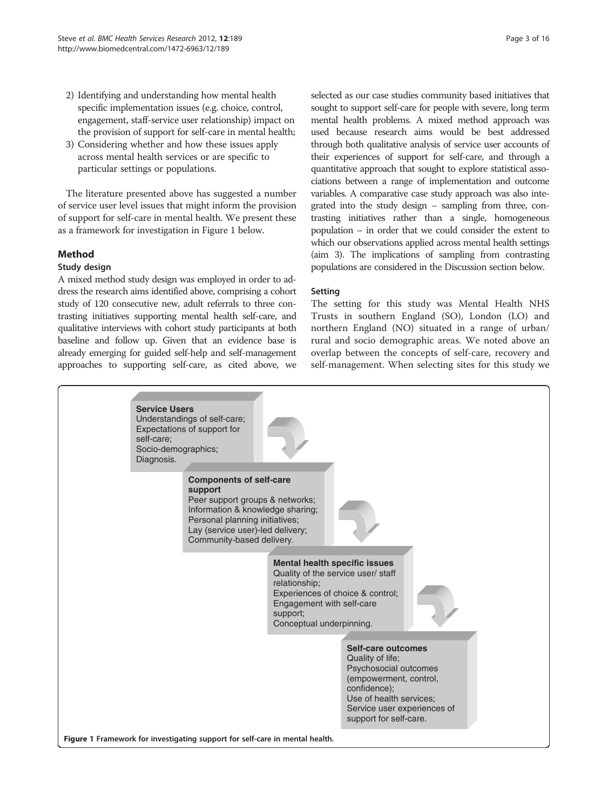- 2) Identifying and understanding how mental health specific implementation issues (e.g. choice, control, engagement, staff-service user relationship) impact on the provision of support for self-care in mental health;
- 3) Considering whether and how these issues apply across mental health services or are specific to particular settings or populations.

The literature presented above has suggested a number of service user level issues that might inform the provision of support for self-care in mental health. We present these as a framework for investigation in Figure 1 below.

# Method

## Study design

A mixed method study design was employed in order to address the research aims identified above, comprising a cohort study of 120 consecutive new, adult referrals to three contrasting initiatives supporting mental health self-care, and qualitative interviews with cohort study participants at both baseline and follow up. Given that an evidence base is already emerging for guided self-help and self-management approaches to supporting self-care, as cited above, we selected as our case studies community based initiatives that sought to support self-care for people with severe, long term mental health problems. A mixed method approach was used because research aims would be best addressed through both qualitative analysis of service user accounts of their experiences of support for self-care, and through a quantitative approach that sought to explore statistical associations between a range of implementation and outcome variables. A comparative case study approach was also integrated into the study design – sampling from three, contrasting initiatives rather than a single, homogeneous population – in order that we could consider the extent to which our observations applied across mental health settings (aim 3). The implications of sampling from contrasting populations are considered in the Discussion section below.

# Setting

The setting for this study was Mental Health NHS Trusts in southern England (SO), London (LO) and northern England (NO) situated in a range of urban/ rural and socio demographic areas. We noted above an overlap between the concepts of self-care, recovery and self-management. When selecting sites for this study we

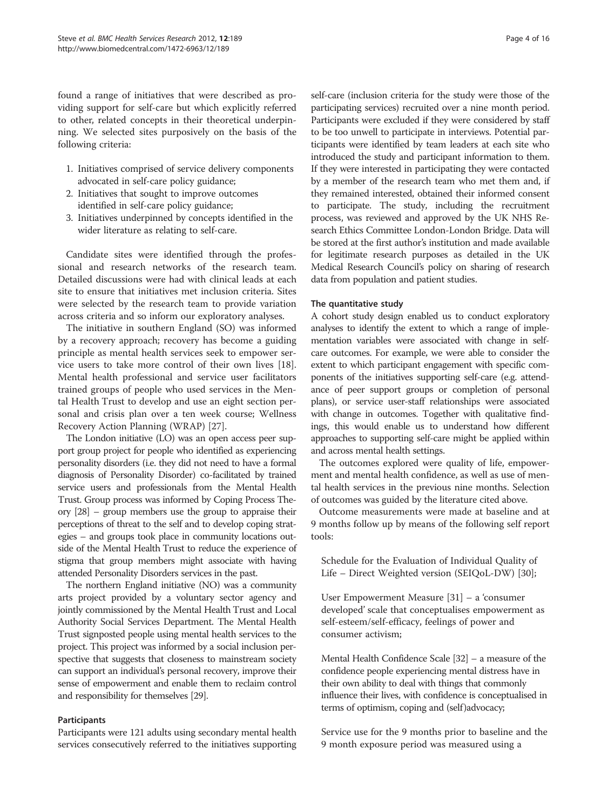found a range of initiatives that were described as providing support for self-care but which explicitly referred to other, related concepts in their theoretical underpinning. We selected sites purposively on the basis of the following criteria:

- 1. Initiatives comprised of service delivery components advocated in self-care policy guidance;
- 2. Initiatives that sought to improve outcomes identified in self-care policy guidance;
- 3. Initiatives underpinned by concepts identified in the wider literature as relating to self-care.

Candidate sites were identified through the professional and research networks of the research team. Detailed discussions were had with clinical leads at each site to ensure that initiatives met inclusion criteria. Sites were selected by the research team to provide variation across criteria and so inform our exploratory analyses.

The initiative in southern England (SO) was informed by a recovery approach; recovery has become a guiding principle as mental health services seek to empower service users to take more control of their own lives [\[18](#page-15-0)]. Mental health professional and service user facilitators trained groups of people who used services in the Mental Health Trust to develop and use an eight section personal and crisis plan over a ten week course; Wellness Recovery Action Planning (WRAP) [\[27](#page-15-0)].

The London initiative (LO) was an open access peer support group project for people who identified as experiencing personality disorders (i.e. they did not need to have a formal diagnosis of Personality Disorder) co-facilitated by trained service users and professionals from the Mental Health Trust. Group process was informed by Coping Process Theory [[28](#page-15-0)] – group members use the group to appraise their perceptions of threat to the self and to develop coping strategies – and groups took place in community locations outside of the Mental Health Trust to reduce the experience of stigma that group members might associate with having attended Personality Disorders services in the past.

The northern England initiative (NO) was a community arts project provided by a voluntary sector agency and jointly commissioned by the Mental Health Trust and Local Authority Social Services Department. The Mental Health Trust signposted people using mental health services to the project. This project was informed by a social inclusion perspective that suggests that closeness to mainstream society can support an individual's personal recovery, improve their sense of empowerment and enable them to reclaim control and responsibility for themselves [[29](#page-16-0)].

#### Participants

Participants were 121 adults using secondary mental health services consecutively referred to the initiatives supporting self-care (inclusion criteria for the study were those of the participating services) recruited over a nine month period. Participants were excluded if they were considered by staff to be too unwell to participate in interviews. Potential participants were identified by team leaders at each site who introduced the study and participant information to them. If they were interested in participating they were contacted by a member of the research team who met them and, if they remained interested, obtained their informed consent to participate. The study, including the recruitment process, was reviewed and approved by the UK NHS Research Ethics Committee London-London Bridge. Data will be stored at the first author's institution and made available for legitimate research purposes as detailed in the UK Medical Research Council's policy on sharing of research data from population and patient studies.

#### The quantitative study

A cohort study design enabled us to conduct exploratory analyses to identify the extent to which a range of implementation variables were associated with change in selfcare outcomes. For example, we were able to consider the extent to which participant engagement with specific components of the initiatives supporting self-care (e.g. attendance of peer support groups or completion of personal plans), or service user-staff relationships were associated with change in outcomes. Together with qualitative findings, this would enable us to understand how different approaches to supporting self-care might be applied within and across mental health settings.

The outcomes explored were quality of life, empowerment and mental health confidence, as well as use of mental health services in the previous nine months. Selection of outcomes was guided by the literature cited above.

Outcome measurements were made at baseline and at 9 months follow up by means of the following self report tools:

Schedule for the Evaluation of Individual Quality of Life – Direct Weighted version (SEIQoL-DW) [[30](#page-16-0)];

User Empowerment Measure [[31\]](#page-16-0) – a 'consumer developed' scale that conceptualises empowerment as self-esteem/self-efficacy, feelings of power and consumer activism;

Mental Health Confidence Scale [[32](#page-16-0)] – a measure of the confidence people experiencing mental distress have in their own ability to deal with things that commonly influence their lives, with confidence is conceptualised in terms of optimism, coping and (self )advocacy;

Service use for the 9 months prior to baseline and the 9 month exposure period was measured using a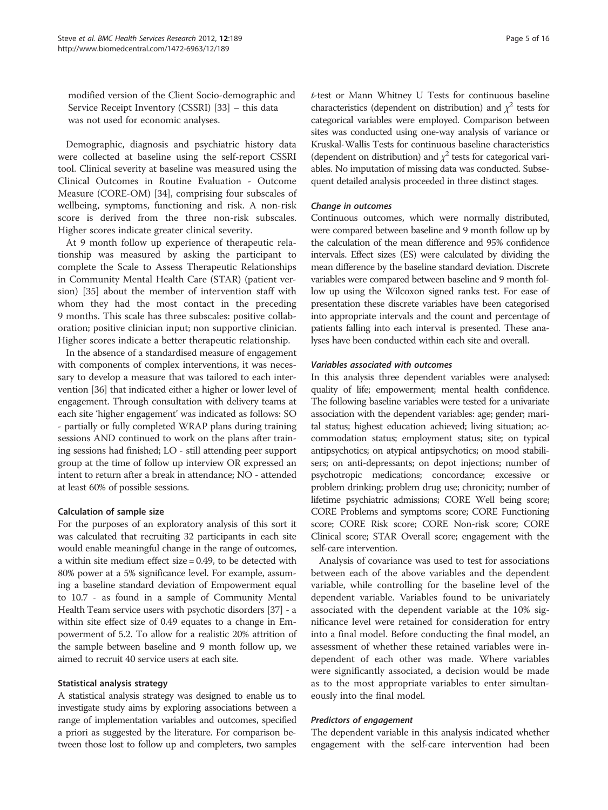modified version of the Client Socio-demographic and Service Receipt Inventory (CSSRI) [[33\]](#page-16-0) – this data was not used for economic analyses.

Demographic, diagnosis and psychiatric history data were collected at baseline using the self-report CSSRI tool. Clinical severity at baseline was measured using the Clinical Outcomes in Routine Evaluation - Outcome Measure (CORE-OM) [\[34\]](#page-16-0), comprising four subscales of wellbeing, symptoms, functioning and risk. A non-risk score is derived from the three non-risk subscales. Higher scores indicate greater clinical severity.

At 9 month follow up experience of therapeutic relationship was measured by asking the participant to complete the Scale to Assess Therapeutic Relationships in Community Mental Health Care (STAR) (patient version) [\[35](#page-16-0)] about the member of intervention staff with whom they had the most contact in the preceding 9 months. This scale has three subscales: positive collaboration; positive clinician input; non supportive clinician. Higher scores indicate a better therapeutic relationship.

In the absence of a standardised measure of engagement with components of complex interventions, it was necessary to develop a measure that was tailored to each intervention [\[36\]](#page-16-0) that indicated either a higher or lower level of engagement. Through consultation with delivery teams at each site 'higher engagement' was indicated as follows: SO - partially or fully completed WRAP plans during training sessions AND continued to work on the plans after training sessions had finished; LO - still attending peer support group at the time of follow up interview OR expressed an intent to return after a break in attendance; NO - attended at least 60% of possible sessions.

## Calculation of sample size

For the purposes of an exploratory analysis of this sort it was calculated that recruiting 32 participants in each site would enable meaningful change in the range of outcomes, a within site medium effect size = 0.49, to be detected with 80% power at a 5% significance level. For example, assuming a baseline standard deviation of Empowerment equal to 10.7 - as found in a sample of Community Mental Health Team service users with psychotic disorders [[37](#page-16-0)] - a within site effect size of 0.49 equates to a change in Empowerment of 5.2. To allow for a realistic 20% attrition of the sample between baseline and 9 month follow up, we aimed to recruit 40 service users at each site.

## Statistical analysis strategy

A statistical analysis strategy was designed to enable us to investigate study aims by exploring associations between a range of implementation variables and outcomes, specified a priori as suggested by the literature. For comparison between those lost to follow up and completers, two samples t-test or Mann Whitney U Tests for continuous baseline characteristics (dependent on distribution) and  $\chi^2$  tests for categorical variables were employed. Comparison between sites was conducted using one-way analysis of variance or Kruskal-Wallis Tests for continuous baseline characteristics (dependent on distribution) and  $\chi^2$  tests for categorical variables. No imputation of missing data was conducted. Subsequent detailed analysis proceeded in three distinct stages.

#### Change in outcomes

Continuous outcomes, which were normally distributed, were compared between baseline and 9 month follow up by the calculation of the mean difference and 95% confidence intervals. Effect sizes (ES) were calculated by dividing the mean difference by the baseline standard deviation. Discrete variables were compared between baseline and 9 month follow up using the Wilcoxon signed ranks test. For ease of presentation these discrete variables have been categorised into appropriate intervals and the count and percentage of patients falling into each interval is presented. These analyses have been conducted within each site and overall.

#### Variables associated with outcomes

In this analysis three dependent variables were analysed: quality of life; empowerment; mental health confidence. The following baseline variables were tested for a univariate association with the dependent variables: age; gender; marital status; highest education achieved; living situation; accommodation status; employment status; site; on typical antipsychotics; on atypical antipsychotics; on mood stabilisers; on anti-depressants; on depot injections; number of psychotropic medications; concordance; excessive or problem drinking; problem drug use; chronicity; number of lifetime psychiatric admissions; CORE Well being score; CORE Problems and symptoms score; CORE Functioning score; CORE Risk score; CORE Non-risk score; CORE Clinical score; STAR Overall score; engagement with the self-care intervention.

Analysis of covariance was used to test for associations between each of the above variables and the dependent variable, while controlling for the baseline level of the dependent variable. Variables found to be univariately associated with the dependent variable at the 10% significance level were retained for consideration for entry into a final model. Before conducting the final model, an assessment of whether these retained variables were independent of each other was made. Where variables were significantly associated, a decision would be made as to the most appropriate variables to enter simultaneously into the final model.

## Predictors of engagement

The dependent variable in this analysis indicated whether engagement with the self-care intervention had been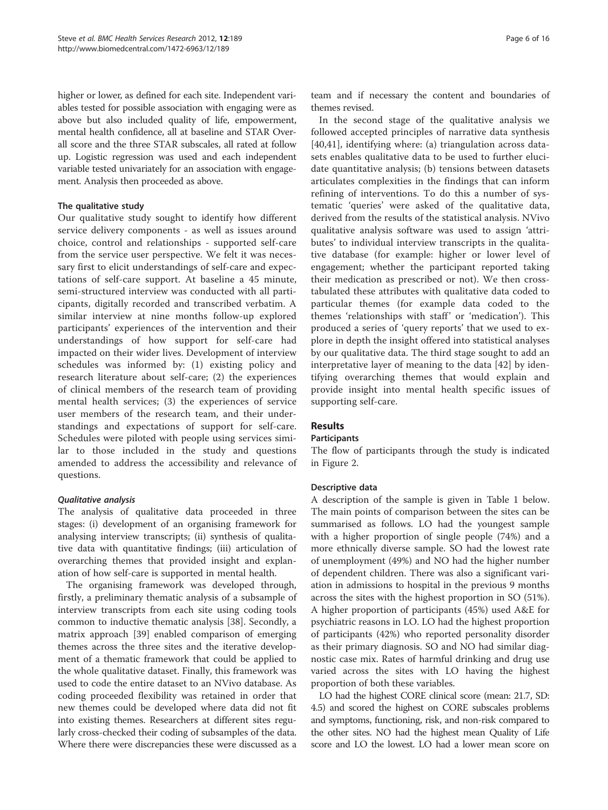higher or lower, as defined for each site. Independent variables tested for possible association with engaging were as above but also included quality of life, empowerment, mental health confidence, all at baseline and STAR Overall score and the three STAR subscales, all rated at follow up. Logistic regression was used and each independent variable tested univariately for an association with engagement. Analysis then proceeded as above.

#### The qualitative study

Our qualitative study sought to identify how different service delivery components - as well as issues around choice, control and relationships - supported self-care from the service user perspective. We felt it was necessary first to elicit understandings of self-care and expectations of self-care support. At baseline a 45 minute, semi-structured interview was conducted with all participants, digitally recorded and transcribed verbatim. A similar interview at nine months follow-up explored participants' experiences of the intervention and their understandings of how support for self-care had impacted on their wider lives. Development of interview schedules was informed by: (1) existing policy and research literature about self-care; (2) the experiences of clinical members of the research team of providing mental health services; (3) the experiences of service user members of the research team, and their understandings and expectations of support for self-care. Schedules were piloted with people using services similar to those included in the study and questions amended to address the accessibility and relevance of questions.

#### Qualitative analysis

The analysis of qualitative data proceeded in three stages: (i) development of an organising framework for analysing interview transcripts; (ii) synthesis of qualitative data with quantitative findings; (iii) articulation of overarching themes that provided insight and explanation of how self-care is supported in mental health.

The organising framework was developed through, firstly, a preliminary thematic analysis of a subsample of interview transcripts from each site using coding tools common to inductive thematic analysis [[38](#page-16-0)]. Secondly, a matrix approach [[39\]](#page-16-0) enabled comparison of emerging themes across the three sites and the iterative development of a thematic framework that could be applied to the whole qualitative dataset. Finally, this framework was used to code the entire dataset to an NVivo database. As coding proceeded flexibility was retained in order that new themes could be developed where data did not fit into existing themes. Researchers at different sites regularly cross-checked their coding of subsamples of the data. Where there were discrepancies these were discussed as a team and if necessary the content and boundaries of themes revised.

In the second stage of the qualitative analysis we followed accepted principles of narrative data synthesis [[40,41](#page-16-0)], identifying where: (a) triangulation across datasets enables qualitative data to be used to further elucidate quantitative analysis; (b) tensions between datasets articulates complexities in the findings that can inform refining of interventions. To do this a number of systematic 'queries' were asked of the qualitative data, derived from the results of the statistical analysis. NVivo qualitative analysis software was used to assign 'attributes' to individual interview transcripts in the qualitative database (for example: higher or lower level of engagement; whether the participant reported taking their medication as prescribed or not). We then crosstabulated these attributes with qualitative data coded to particular themes (for example data coded to the themes 'relationships with staff' or 'medication'). This produced a series of 'query reports' that we used to explore in depth the insight offered into statistical analyses by our qualitative data. The third stage sought to add an interpretative layer of meaning to the data [[42](#page-16-0)] by identifying overarching themes that would explain and provide insight into mental health specific issues of supporting self-care.

## Results

#### **Participants**

The flow of participants through the study is indicated in Figure [2](#page-7-0).

#### Descriptive data

A description of the sample is given in Table [1](#page-8-0) below. The main points of comparison between the sites can be summarised as follows. LO had the youngest sample with a higher proportion of single people (74%) and a more ethnically diverse sample. SO had the lowest rate of unemployment (49%) and NO had the higher number of dependent children. There was also a significant variation in admissions to hospital in the previous 9 months across the sites with the highest proportion in SO (51%). A higher proportion of participants (45%) used A&E for psychiatric reasons in LO. LO had the highest proportion of participants (42%) who reported personality disorder as their primary diagnosis. SO and NO had similar diagnostic case mix. Rates of harmful drinking and drug use varied across the sites with LO having the highest proportion of both these variables.

LO had the highest CORE clinical score (mean: 21.7, SD: 4.5) and scored the highest on CORE subscales problems and symptoms, functioning, risk, and non-risk compared to the other sites. NO had the highest mean Quality of Life score and LO the lowest. LO had a lower mean score on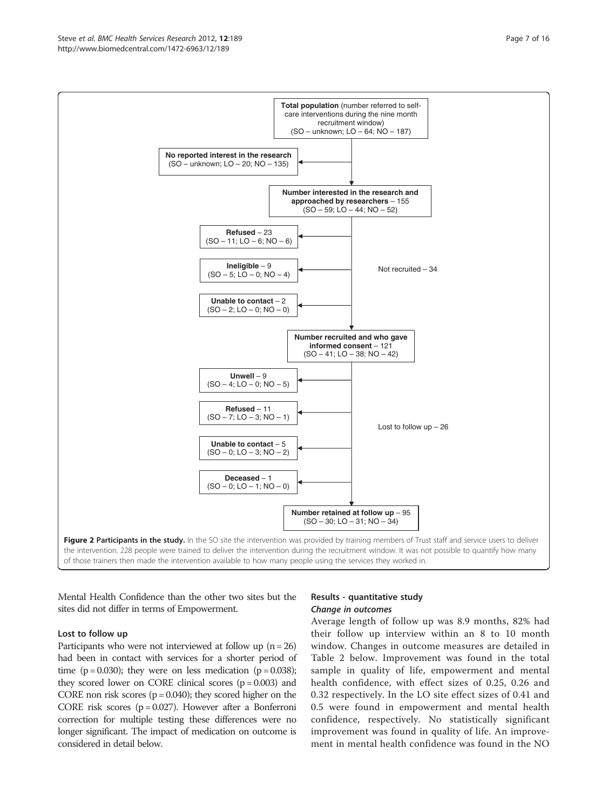<span id="page-7-0"></span>

Mental Health Confidence than the other two sites but the sites did not differ in terms of Empowerment.

#### Lost to follow up

Participants who were not interviewed at follow up  $(n = 26)$ had been in contact with services for a shorter period of time ( $p = 0.030$ ); they were on less medication ( $p = 0.038$ ); they scored lower on CORE clinical scores  $(p = 0.003)$  and CORE non risk scores ( $p = 0.040$ ); they scored higher on the CORE risk scores ( $p = 0.027$ ). However after a Bonferroni correction for multiple testing these differences were no longer significant. The impact of medication on outcome is considered in detail below.

#### Results - quantitative study Change in outcomes

Average length of follow up was 8.9 months, 82% had their follow up interview within an 8 to 10 month window. Changes in outcome measures are detailed in Table [2](#page-10-0) below. Improvement was found in the total sample in quality of life, empowerment and mental health confidence, with effect sizes of 0.25, 0.26 and 0.32 respectively. In the LO site effect sizes of 0.41 and 0.5 were found in empowerment and mental health confidence, respectively. No statistically significant improvement was found in quality of life. An improvement in mental health confidence was found in the NO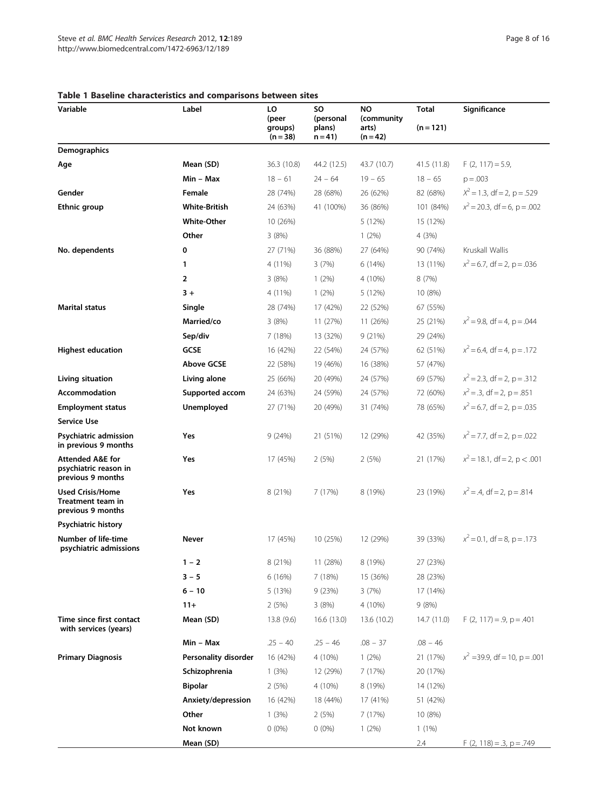| Variable                                                          | Label                | LO                             | SΟ                              | NΟ                              | Total       | Significance                   |
|-------------------------------------------------------------------|----------------------|--------------------------------|---------------------------------|---------------------------------|-------------|--------------------------------|
|                                                                   |                      | (peer<br>groups)<br>$(n = 38)$ | (personal<br>plans)<br>$n = 41$ | (community<br>arts)<br>$(n=42)$ | $(n = 121)$ |                                |
| Demographics                                                      |                      |                                |                                 |                                 |             |                                |
| Age                                                               | Mean (SD)            | 36.3 (10.8)                    | 44.2 (12.5)                     | 43.7 (10.7)                     | 41.5 (11.8) | $F(2, 117) = 5.9$              |
|                                                                   | Min - Max            | $18 - 61$                      | $24 - 64$                       | $19 - 65$                       | $18 - 65$   | $p = .003$                     |
| Gender                                                            | Female               | 28 (74%)                       | 28 (68%)                        | 26 (62%)                        | 82 (68%)    | $X^2 = 1.3$ , df = 2, p = .529 |
| Ethnic group                                                      | <b>White-British</b> | 24 (63%)                       | 41 (100%)                       | 36 (86%)                        | 101 (84%)   | $x^2$ = 20.3, df = 6, p = .002 |
|                                                                   | <b>White-Other</b>   | 10 (26%)                       |                                 | 5 (12%)                         | 15 (12%)    |                                |
|                                                                   | Other                | 3 (8%)                         |                                 | 1(2%)                           | 4(3%)       |                                |
| No. dependents                                                    | 0                    | 27 (71%)                       | 36 (88%)                        | 27 (64%)                        | 90 (74%)    | Kruskall Wallis                |
|                                                                   | 1                    | 4 (11%)                        | 3(7%)                           | 6 (14%)                         | 13 (11%)    | $x^2$ = 6.7, df = 2, p = .036  |
|                                                                   | $\overline{2}$       | 3(8%)                          | 1(2%)                           | 4 (10%)                         | 8(7%)       |                                |
|                                                                   | $3+$                 | 4 (11%)                        | 1(2%)                           | 5 (12%)                         | 10 (8%)     |                                |
| <b>Marital status</b>                                             | Single               | 28 (74%)                       | 17 (42%)                        | 22 (52%)                        | 67 (55%)    |                                |
|                                                                   | Married/co           | 3(8%)                          | 11 (27%)                        | 11 (26%)                        | 25 (21%)    | $x^2$ = 9.8, df = 4, p = .044  |
|                                                                   | Sep/div              | 7 (18%)                        | 13 (32%)                        | 9(21%)                          | 29 (24%)    |                                |
| <b>Highest education</b>                                          | <b>GCSE</b>          | 16 (42%)                       | 22 (54%)                        | 24 (57%)                        | 62 (51%)    | $x^2$ = 6.4, df = 4, p = .172  |
|                                                                   | <b>Above GCSE</b>    | 22 (58%)                       | 19 (46%)                        | 16 (38%)                        | 57 (47%)    |                                |
| Living situation                                                  | Living alone         | 25 (66%)                       | 20 (49%)                        | 24 (57%)                        | 69 (57%)    | $x^2$ = 2.3, df = 2, p = .312  |
| Accommodation                                                     | Supported accom      | 24 (63%)                       | 24 (59%)                        | 24 (57%)                        | 72 (60%)    | $x^2$ = .3, df = 2, p = .851   |
| <b>Employment status</b>                                          | <b>Unemployed</b>    | 27 (71%)                       | 20 (49%)                        | 31 (74%)                        | 78 (65%)    | $x^2$ = 6.7, df = 2, p = .035  |
| <b>Service Use</b>                                                |                      |                                |                                 |                                 |             |                                |
| Psychiatric admission<br>in previous 9 months                     | Yes                  | 9(24%)                         | 21 (51%)                        | 12 (29%)                        | 42 (35%)    | $x^2$ = 7.7, df = 2, p = .022  |
| Attended A&E for<br>psychiatric reason in<br>previous 9 months    | Yes                  | 17 (45%)                       | 2(5%)                           | 2(5%)                           | 21 (17%)    | $x^2$ = 18.1, df = 2, p < .001 |
| <b>Used Crisis/Home</b><br>Treatment team in<br>previous 9 months | Yes                  | 8 (21%)                        | 7 (17%)                         | 8 (19%)                         | 23 (19%)    | $x^2 = .4$ , df = 2, p = .814  |
| Psychiatric history                                               |                      |                                |                                 |                                 |             |                                |
| <b>Number of life-time</b><br>psychiatric admissions              | Never                | 17 (45%)                       | 10 (25%)                        | 12 (29%)                        | 39 (33%)    | $x^2$ = 0.1, df = 8, p = .173  |
|                                                                   | $1 - 2$              | 8 (21%)                        | 11 (28%)                        | 8 (19%)                         | 27 (23%)    |                                |
|                                                                   | $3 - 5$              | 6(16%)                         | 7 (18%)                         | 15 (36%)                        | 28 (23%)    |                                |
|                                                                   | $6 - 10$             | 5 (13%)                        | 9(23%)                          | 3(7%)                           | 17 (14%)    |                                |
|                                                                   | $11+$                | 2(5%)                          | 3(8%)                           | 4 (10%)                         | 9(8%)       |                                |
| Time since first contact<br>with services (years)                 | Mean (SD)            | 13.8 (9.6)                     | 16.6 (13.0)                     | 13.6 (10.2)                     | 14.7 (11.0) | $F(2, 117) = .9, p = .401$     |
|                                                                   | Min – Max            | $.25 - 40$                     | $.25 - 46$                      | $.08 - 37$                      | $.08 - 46$  |                                |
| <b>Primary Diagnosis</b>                                          | Personality disorder | 16 (42%)                       | 4 (10%)                         | 1(2%)                           | 21 (17%)    | $x^2$ =39.9, df = 10, p = .001 |
|                                                                   | Schizophrenia        | 1(3%)                          | 12 (29%)                        | 7 (17%)                         | 20 (17%)    |                                |
|                                                                   | <b>Bipolar</b>       | 2(5%)                          | 4 (10%)                         | 8 (19%)                         | 14 (12%)    |                                |
|                                                                   | Anxiety/depression   | 16 (42%)                       | 18 (44%)                        | 17 (41%)                        | 51 (42%)    |                                |
|                                                                   | Other                | 1(3%)                          | 2(5%)                           | 7 (17%)                         | 10 (8%)     |                                |
|                                                                   | Not known            | $0(0\%)$                       | $0(0\%)$                        | 1(2%)                           | $1(1\%)$    |                                |
|                                                                   | Mean (SD)            |                                |                                 |                                 | 2.4         | $F(2, 118) = .3, p = .749$     |

# <span id="page-8-0"></span>Table 1 Baseline characteristics and comparisons between sites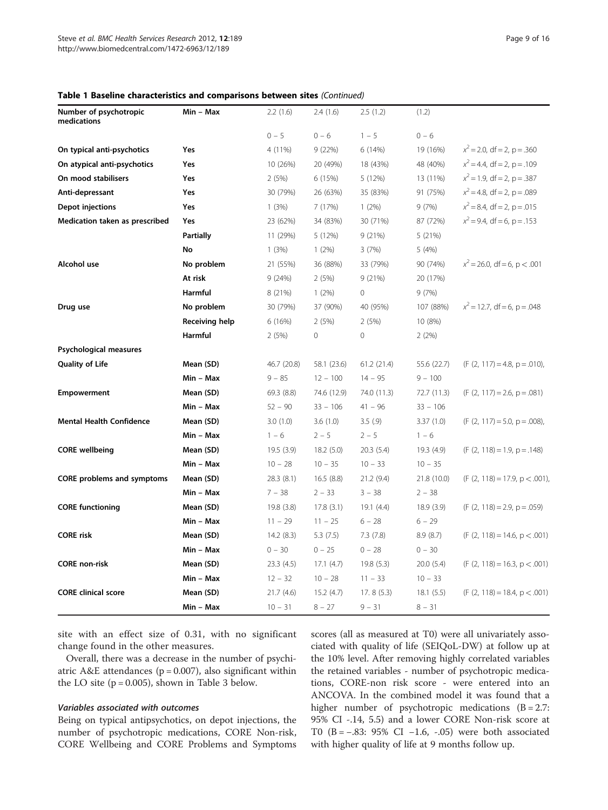Table 1 Baseline characteristics and comparisons between sites (Continued)

| Number of psychotropic<br>medications | Min - Max        | 2.2(1.6)    | 2.4(1.6)    | 2.5(1.2)    | (1.2)       |                                 |
|---------------------------------------|------------------|-------------|-------------|-------------|-------------|---------------------------------|
|                                       |                  | $0 - 5$     | $0 - 6$     | $1 - 5$     | $0 - 6$     |                                 |
| On typical anti-psychotics            | Yes              | 4 (11%)     | 9(22%)      | 6(14%)      | 19 (16%)    | $x^2$ = 2.0, df = 2, p = .360   |
| On atypical anti-psychotics           | Yes              | 10 (26%)    | 20 (49%)    | 18 (43%)    | 48 (40%)    | $x^2 = 4.4$ , df = 2, p = .109  |
| On mood stabilisers                   | Yes              | 2(5%)       | 6 (15%)     | 5 (12%)     | 13 (11%)    | $x^2 = 1.9$ , df = 2, p = .387  |
| Anti-depressant                       | Yes              | 30 (79%)    | 26 (63%)    | 35 (83%)    | 91 (75%)    | $x^2 = 4.8$ , df = 2, p = .089  |
| <b>Depot injections</b>               | Yes              | 1(3%)       | 7 (17%)     | 1(2%)       | 9(7%)       | $x^2 = 8.4$ , df = 2, p = 0.015 |
| Medication taken as prescribed        | Yes              | 23 (62%)    | 34 (83%)    | 30 (71%)    | 87 (72%)    | $x^2$ = 9.4, df = 6, p = .153   |
|                                       | <b>Partially</b> | 11 (29%)    | 5 (12%)     | 9(21%)      | 5(21%)      |                                 |
|                                       | No               | 1(3%)       | 1(2%)       | 3(7%)       | 5(4%)       |                                 |
| Alcohol use                           | No problem       | 21 (55%)    | 36 (88%)    | 33 (79%)    | 90 (74%)    | $x^2$ = 26.0, df = 6, p < .001  |
|                                       | At risk          | 9 (24%)     | 2(5%)       | 9(21%)      | 20 (17%)    |                                 |
|                                       | Harmful          | 8 (21%)     | $1(2\%)$    | 0           | 9(7%)       |                                 |
| Drug use                              | No problem       | 30 (79%)    | 37 (90%)    | 40 (95%)    | 107 (88%)   | $x^2$ = 12.7, df = 6, p = .048  |
|                                       | Receiving help   | 6(16%)      | 2(5%)       | 2(5%)       | 10 (8%)     |                                 |
|                                       | Harmful          | 2 (5%)      | 0           | 0           | 2(2%)       |                                 |
| <b>Psychological measures</b>         |                  |             |             |             |             |                                 |
| <b>Quality of Life</b>                | Mean (SD)        | 46.7 (20.8) | 58.1 (23.6) | 61.2 (21.4) | 55.6 (22.7) | $(F (2, 117) = 4.8, p = .010),$ |
|                                       | Min - Max        | $9 - 85$    | $12 - 100$  | $14 - 95$   | $9 - 100$   |                                 |
| <b>Empowerment</b>                    | Mean (SD)        | 69.3 (8.8)  | 74.6 (12.9) | 74.0 (11.3) | 72.7 (11.3) | $(F (2, 117) = 2.6, p = .081)$  |
|                                       | Min - Max        | $52 - 90$   | $33 - 106$  | $41 - 96$   | $33 - 106$  |                                 |
| <b>Mental Health Confidence</b>       | Mean (SD)        | 3.0(1.0)    | 3.6(1.0)    | 3.5(9)      | 3.37(1.0)   | $(F (2, 117) = 5.0, p = .008),$ |
|                                       | Min - Max        | $1 - 6$     | $2 - 5$     | $2 - 5$     | $1 - 6$     |                                 |
| <b>CORE</b> wellbeing                 | Mean (SD)        | 19.5(3.9)   | 18.2(5.0)   | 20.3(5.4)   | 19.3(4.9)   | $(F (2, 118) = 1.9, p = .148)$  |
|                                       | Min - Max        | $10 - 28$   | $10 - 35$   | $10 - 33$   | $10 - 35$   |                                 |
| <b>CORE problems and symptoms</b>     | Mean (SD)        | 28.3 (8.1)  | 16.5(8.8)   | 21.2 (9.4)  | 21.8 (10.0) | $(F (2, 118) = 17.9, p < .001)$ |
|                                       | Min - Max        | $7 - 38$    | $2 - 33$    | $3 - 38$    | $2 - 38$    |                                 |
| <b>CORE functioning</b>               | Mean (SD)        | 19.8(3.8)   | 17.8(3.1)   | 19.1(4.4)   | 18.9(3.9)   | $(F (2, 118) = 2.9, p = .059)$  |
|                                       | Min - Max        | $11 - 29$   | $11 - 25$   | $6 - 28$    | $6 - 29$    |                                 |
| <b>CORE risk</b>                      | Mean (SD)        | 14.2(8.3)   | 5.3(7.5)    | 7.3(7.8)    | 8.9(8.7)    | $(F (2, 118) = 14.6, p < .001)$ |
|                                       | Min - Max        | $0 - 30$    | $0 - 25$    | $0 - 28$    | $0 - 30$    |                                 |
| <b>CORE</b> non-risk                  | Mean (SD)        | 23.3(4.5)   | 17.1(4.7)   | 19.8 (5.3)  | 20.0 (5.4)  | $(F (2, 118) = 16.3, p < .001)$ |
|                                       | Min - Max        | $12 - 32$   | $10 - 28$   | $11 - 33$   | $10 - 33$   |                                 |
| <b>CORE clinical score</b>            | Mean (SD)        | 21.7(4.6)   | 15.2(4.7)   | 17.8(5.3)   | 18.1(5.5)   | $(F (2, 118) = 18.4, p < .001)$ |
|                                       | Min - Max        | $10 - 31$   | $8 - 27$    | $9 - 31$    | $8 - 31$    |                                 |

site with an effect size of 0.31, with no significant change found in the other measures.

Overall, there was a decrease in the number of psychiatric A&E attendances ( $p = 0.007$ ), also significant within the LO site  $(p = 0.005)$ , shown in Table [3](#page-10-0) below.

#### Variables associated with outcomes

Being on typical antipsychotics, on depot injections, the number of psychotropic medications, CORE Non-risk, CORE Wellbeing and CORE Problems and Symptoms scores (all as measured at T0) were all univariately associated with quality of life (SEIQoL-DW) at follow up at the 10% level. After removing highly correlated variables the retained variables - number of psychotropic medications, CORE-non risk score - were entered into an ANCOVA. In the combined model it was found that a higher number of psychotropic medications  $(B = 2.7$ : 95% CI -.14, 5.5) and a lower CORE Non-risk score at T0 (B = −.83: 95% CI −1.6, -.05) were both associated with higher quality of life at 9 months follow up.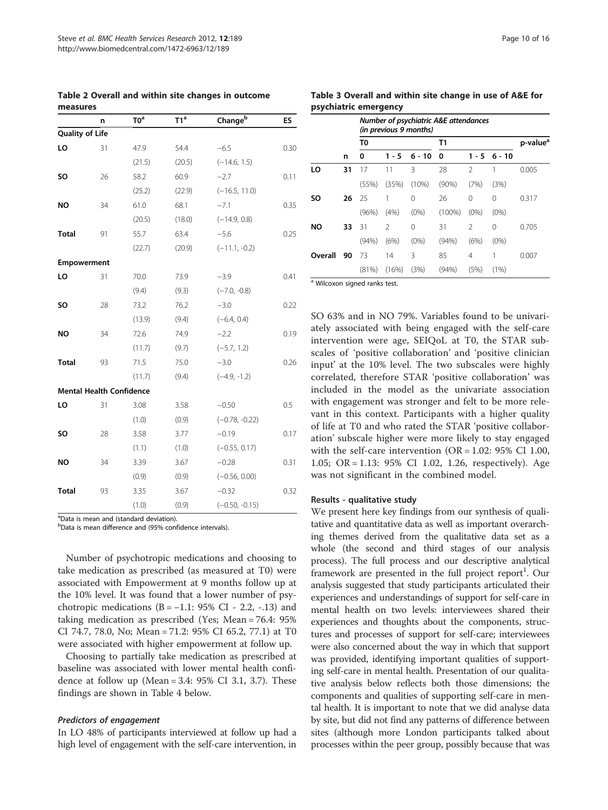<span id="page-10-0"></span>

| Table 2 Overall and within site changes in outcome |  |  |  |
|----------------------------------------------------|--|--|--|
| measures                                           |  |  |  |

|                        | n                               | TO <sup>a</sup> | T1 <sup>a</sup> | Change <sup>b</sup> | ES      |
|------------------------|---------------------------------|-----------------|-----------------|---------------------|---------|
| <b>Quality of Life</b> |                                 |                 |                 |                     |         |
| LO                     | 31                              | 47.9            | 54.4            | $-6.5$              | 0.30    |
|                        |                                 | (21.5)          | (20.5)          | $(-14.6, 1.5)$      |         |
| SO                     | 26                              | 58.2            | 60.9            | $-2.7$              | 0.11    |
|                        |                                 | (25.2)          | (22.9)          | $(-16.5, 11.0)$     |         |
| <b>NO</b>              | 34                              | 61.0            | 68.1            | $-7.1$              | 0.35    |
|                        |                                 | (20.5)          | (18.0)          | $(-14.9, 0.8)$      |         |
| <b>Total</b>           | 91                              | 55.7            | 63.4            | $-5.6$              | 0.25    |
|                        |                                 | (22.7)          | (20.9)          | $(-11.1, -0.2)$     |         |
| <b>Empowerment</b>     |                                 |                 |                 |                     |         |
| LO                     | 31                              | 70.0            | 73.9            | $-3.9$              | 0.41    |
|                        |                                 | (9.4)           | (9.3)           | $(-7.0, -0.8)$      |         |
| SO                     | 28                              | 73.2            | 76.2            | $-3.0$              | 0.22    |
|                        |                                 | (13.9)          | (9.4)           | $(-6.4, 0.4)$       |         |
| <b>NO</b>              | 34                              | 72.6            | 74.9            | $-2.2$              | 0.19    |
|                        |                                 | (11.7)          | (9.7)           | $(-5.7, 1.2)$       |         |
| <b>Total</b>           | 93                              | 71.5            | 75.0            | $-3.0$              | 0.26    |
|                        |                                 | (11.7)          | (9.4)           | $(-4.9, -1.2)$      |         |
|                        | <b>Mental Health Confidence</b> |                 |                 |                     |         |
| LO                     | 31                              | 3.08            | 3.58            | $-0.50$             | $0.5\,$ |
|                        |                                 | (1.0)           | (0.9)           | $(-0.78, -0.22)$    |         |
| SO                     | 28                              | 3.58            | 3.77            | $-0.19$             | 0.17    |
|                        |                                 | (1.1)           | (1.0)           | $(-0.55, 0.17)$     |         |
| <b>NO</b>              | 34                              | 3.39            | 3.67            | $-0.28$             | 0.31    |
|                        |                                 | (0.9)           | (0.9)           | $(-0.56, 0.00)$     |         |
| <b>Total</b>           | 93                              | 3.35            | 3.67            | $-0.32$             | 0.32    |
|                        |                                 | (1.0)           | (0.9)           | $(-0.50, -0.15)$    |         |

a Data is mean and (standard deviation).

b Data is mean difference and (95% confidence intervals).

Number of psychotropic medications and choosing to take medication as prescribed (as measured at T0) were associated with Empowerment at 9 months follow up at the 10% level. It was found that a lower number of psychotropic medications  $(B = -1.1: 95\% \text{ CI} - 2.2, -.13)$  and taking medication as prescribed (Yes; Mean = 76.4: 95% CI 74.7, 78.0, No; Mean = 71.2: 95% CI 65.2, 77.1) at T0 were associated with higher empowerment at follow up.

Choosing to partially take medication as prescribed at baseline was associated with lower mental health confidence at follow up (Mean =  $3.4:95\%$  CI 3.1, 3.7). These findings are shown in Table [4](#page-11-0) below.

#### Predictors of engagement

In LO 48% of participants interviewed at follow up had a high level of engagement with the self-care intervention, in

Table 3 Overall and within site change in use of A&E for psychiatric emergency

|           |    |       | Number of psychiatric A&E attendances<br>(in previous 9 months) |          |           |                |         |                      |
|-----------|----|-------|-----------------------------------------------------------------|----------|-----------|----------------|---------|----------------------|
|           |    | T0    |                                                                 |          | T1        |                |         | p-value <sup>a</sup> |
|           | n  | 0     | 1 - 5                                                           | 6 - 10   | 0         | 1 - 5          | 6 - 10  |                      |
| LO        | 31 | 17    | 11                                                              | 3        | 28        | 2              |         | 0.005                |
|           |    | (55%) | (35%)                                                           | (10%)    | $(90\%)$  | (7%)           | (3%)    |                      |
| <b>SO</b> | 26 | 25    | 1                                                               | 0        | 26        | 0              | 0       | 0.317                |
|           |    | (96%) | (4% )                                                           | $(0\%)$  | $(100\%)$ | $(0\%)$        | $(0\%)$ |                      |
| <b>NO</b> | 33 | 31    | $\mathcal{L}$                                                   | $\Omega$ | 31        | $\mathfrak{D}$ | 0       | 0.705                |
|           |    | (94%) | (6%)                                                            | $(0\%)$  | (94% )    | (6%)           | $(0\%)$ |                      |
| Overall   | 90 | 73    | 14                                                              | 3        | 85        | 4              |         | 0.007                |
|           |    | (81%) | (16%)                                                           | (3%)     | (94% )    | (5%)           | (1%)    |                      |

a Wilcoxon signed ranks test.

SO 63% and in NO 79%. Variables found to be univariately associated with being engaged with the self-care intervention were age, SEIQoL at T0, the STAR subscales of 'positive collaboration' and 'positive clinician input' at the 10% level. The two subscales were highly correlated, therefore STAR 'positive collaboration' was included in the model as the univariate association with engagement was stronger and felt to be more relevant in this context. Participants with a higher quality of life at T0 and who rated the STAR 'positive collaboration' subscale higher were more likely to stay engaged with the self-care intervention  $(OR = 1.02: 95\% \text{ CI } 1.00,$ 1.05; OR = 1.13: 95% CI 1.02, 1.26, respectively). Age was not significant in the combined model.

#### Results - qualitative study

We present here key findings from our synthesis of qualitative and quantitative data as well as important overarching themes derived from the qualitative data set as a whole (the second and third stages of our analysis process). The full process and our descriptive analytical framework are presented in the full project report<sup>1</sup>. Our analysis suggested that study participants articulated their experiences and understandings of support for self-care in mental health on two levels: interviewees shared their experiences and thoughts about the components, structures and processes of support for self-care; interviewees were also concerned about the way in which that support was provided, identifying important qualities of supporting self-care in mental health. Presentation of our qualitative analysis below reflects both those dimensions; the components and qualities of supporting self-care in mental health. It is important to note that we did analyse data by site, but did not find any patterns of difference between sites (although more London participants talked about processes within the peer group, possibly because that was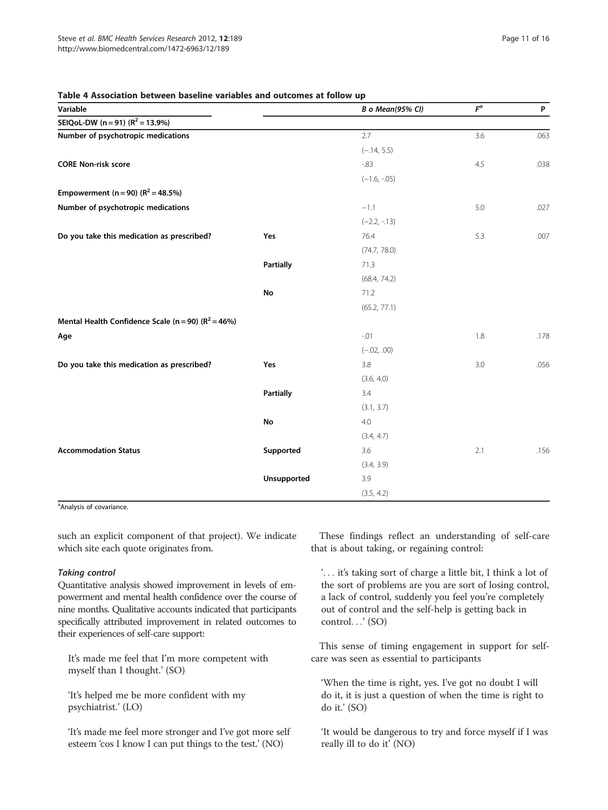| Variable                                               |                  | B o Mean(95% CI) | $F^a$   | P    |
|--------------------------------------------------------|------------------|------------------|---------|------|
| SEIQoL-DW (n = 91) ( $R^2$ = 13.9%)                    |                  |                  |         |      |
| Number of psychotropic medications                     |                  | 2.7              | 3.6     | .063 |
|                                                        |                  | $(-.14, 5.5)$    |         |      |
| <b>CORE Non-risk score</b>                             |                  | $-0.83$          | 4.5     | .038 |
|                                                        |                  | $(-1.6, -0.05)$  |         |      |
| Empowerment (n = 90) ( $R^2$ = 48.5%)                  |                  |                  |         |      |
| Number of psychotropic medications                     |                  | $-1.1$           | 5.0     | .027 |
|                                                        |                  | $(-2.2, -13)$    |         |      |
| Do you take this medication as prescribed?             | Yes              | 76.4             | 5.3     | .007 |
|                                                        |                  | (74.7, 78.0)     |         |      |
|                                                        | <b>Partially</b> | 71.3             |         |      |
|                                                        |                  | (68.4, 74.2)     |         |      |
|                                                        | No               | 71.2             |         |      |
|                                                        |                  | (65.2, 77.1)     |         |      |
| Mental Health Confidence Scale (n = 90) ( $R^2$ = 46%) |                  |                  |         |      |
| Age                                                    |                  | $-0.01$          | $1.8\,$ | .178 |
|                                                        |                  | $(-.02, .00)$    |         |      |
| Do you take this medication as prescribed?             | Yes              | 3.8              | 3.0     | .056 |
|                                                        |                  | (3.6, 4.0)       |         |      |
|                                                        | <b>Partially</b> | 3.4              |         |      |
|                                                        |                  | (3.1, 3.7)       |         |      |
|                                                        | No               | 4.0              |         |      |
|                                                        |                  | (3.4, 4.7)       |         |      |
| <b>Accommodation Status</b>                            | Supported        | 3.6              | 2.1     | .156 |
|                                                        |                  | (3.4, 3.9)       |         |      |
|                                                        | Unsupported      | 3.9              |         |      |
|                                                        |                  | (3.5, 4.2)       |         |      |

## <span id="page-11-0"></span>Table 4 Association between baseline variables and outcomes at follow up

<sup>a</sup>Analysis of covariance.

such an explicit component of that project). We indicate which site each quote originates from.

# Taking control

Quantitative analysis showed improvement in levels of empowerment and mental health confidence over the course of nine months. Qualitative accounts indicated that participants specifically attributed improvement in related outcomes to their experiences of self-care support:

It's made me feel that I'm more competent with myself than I thought.' (SO)

'It's helped me be more confident with my psychiatrist.' (LO)

'It's made me feel more stronger and I've got more self esteem 'cos I know I can put things to the test.' (NO)

These findings reflect an understanding of self-care that is about taking, or regaining control:

'... it's taking sort of charge a little bit, I think a lot of the sort of problems are you are sort of losing control, a lack of control, suddenly you feel you're completely out of control and the self-help is getting back in control...' (SO)

This sense of timing engagement in support for selfcare was seen as essential to participants

'When the time is right, yes. I've got no doubt I will do it, it is just a question of when the time is right to do it.' (SO)

'It would be dangerous to try and force myself if I was really ill to do it' (NO)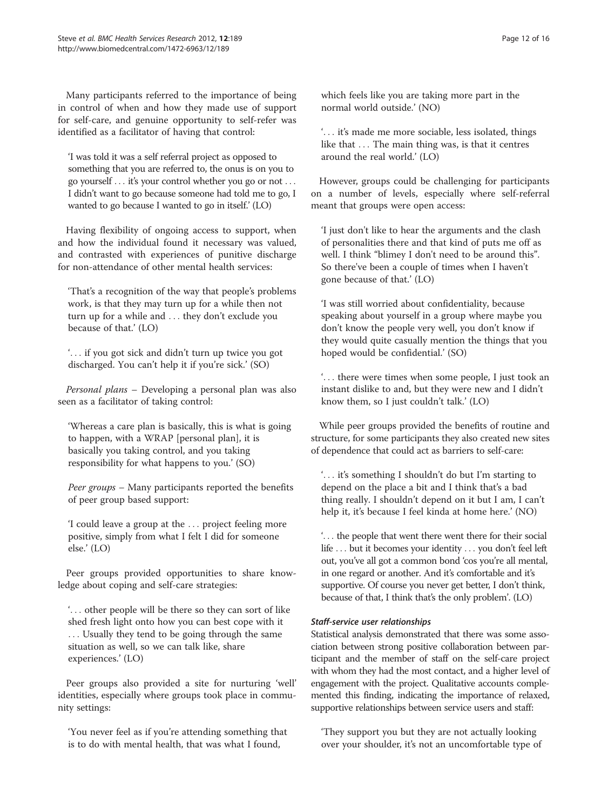Many participants referred to the importance of being in control of when and how they made use of support for self-care, and genuine opportunity to self-refer was identified as a facilitator of having that control:

'I was told it was a self referral project as opposed to something that you are referred to, the onus is on you to go yourself ... it's your control whether you go or not ... I didn't want to go because someone had told me to go, I wanted to go because I wanted to go in itself.' (LO)

Having flexibility of ongoing access to support, when and how the individual found it necessary was valued, and contrasted with experiences of punitive discharge for non-attendance of other mental health services:

'That's a recognition of the way that people's problems work, is that they may turn up for a while then not turn up for a while and ... they don't exclude you because of that.' (LO)

'... if you got sick and didn't turn up twice you got discharged. You can't help it if you're sick.' (SO)

Personal plans – Developing a personal plan was also seen as a facilitator of taking control:

'Whereas a care plan is basically, this is what is going to happen, with a WRAP [personal plan], it is basically you taking control, and you taking responsibility for what happens to you.' (SO)

Peer groups – Many participants reported the benefits of peer group based support:

'I could leave a group at the ... project feeling more positive, simply from what I felt I did for someone else.' (LO)

Peer groups provided opportunities to share knowledge about coping and self-care strategies:

'... other people will be there so they can sort of like shed fresh light onto how you can best cope with it ... Usually they tend to be going through the same situation as well, so we can talk like, share experiences.' (LO)

Peer groups also provided a site for nurturing 'well' identities, especially where groups took place in community settings:

'You never feel as if you're attending something that is to do with mental health, that was what I found,

which feels like you are taking more part in the normal world outside.' (NO)

'... it's made me more sociable, less isolated, things like that ... The main thing was, is that it centres around the real world.' (LO)

However, groups could be challenging for participants on a number of levels, especially where self-referral meant that groups were open access:

'I just don't like to hear the arguments and the clash of personalities there and that kind of puts me off as well. I think "blimey I don't need to be around this". So there've been a couple of times when I haven't gone because of that.' (LO)

'I was still worried about confidentiality, because speaking about yourself in a group where maybe you don't know the people very well, you don't know if they would quite casually mention the things that you hoped would be confidential.' (SO)

'... there were times when some people, I just took an instant dislike to and, but they were new and I didn't know them, so I just couldn't talk.' (LO)

While peer groups provided the benefits of routine and structure, for some participants they also created new sites of dependence that could act as barriers to self-care:

'... it's something I shouldn't do but I'm starting to depend on the place a bit and I think that's a bad thing really. I shouldn't depend on it but I am, I can't help it, it's because I feel kinda at home here.' (NO)

'... the people that went there went there for their social life ... but it becomes your identity ... you don't feel left out, you've all got a common bond 'cos you're all mental, in one regard or another. And it's comfortable and it's supportive. Of course you never get better, I don't think, because of that, I think that's the only problem'. (LO)

## Staff-service user relationships

Statistical analysis demonstrated that there was some association between strong positive collaboration between participant and the member of staff on the self-care project with whom they had the most contact, and a higher level of engagement with the project. Qualitative accounts complemented this finding, indicating the importance of relaxed, supportive relationships between service users and staff:

'They support you but they are not actually looking over your shoulder, it's not an uncomfortable type of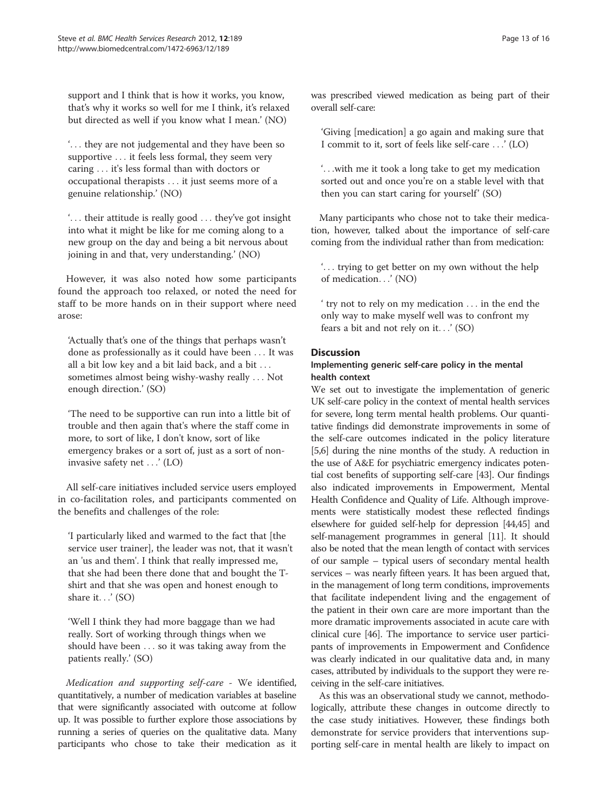support and I think that is how it works, you know, that's why it works so well for me I think, it's relaxed but directed as well if you know what I mean.' (NO)

'... they are not judgemental and they have been so supportive ... it feels less formal, they seem very caring ... it's less formal than with doctors or occupational therapists ... it just seems more of a genuine relationship.' (NO)

'... their attitude is really good ... they've got insight into what it might be like for me coming along to a new group on the day and being a bit nervous about joining in and that, very understanding.' (NO)

However, it was also noted how some participants found the approach too relaxed, or noted the need for staff to be more hands on in their support where need arose:

'Actually that's one of the things that perhaps wasn't done as professionally as it could have been ... It was all a bit low key and a bit laid back, and a bit ... sometimes almost being wishy-washy really ... Not enough direction.' (SO)

'The need to be supportive can run into a little bit of trouble and then again that's where the staff come in more, to sort of like, I don't know, sort of like emergency brakes or a sort of, just as a sort of noninvasive safety net ...' (LO)

All self-care initiatives included service users employed in co-facilitation roles, and participants commented on the benefits and challenges of the role:

'I particularly liked and warmed to the fact that [the service user trainer], the leader was not, that it wasn't an 'us and them'. I think that really impressed me, that she had been there done that and bought the Tshirt and that she was open and honest enough to share it...' (SO)

'Well I think they had more baggage than we had really. Sort of working through things when we should have been ... so it was taking away from the patients really.' (SO)

Medication and supporting self-care - We identified, quantitatively, a number of medication variables at baseline that were significantly associated with outcome at follow up. It was possible to further explore those associations by running a series of queries on the qualitative data. Many participants who chose to take their medication as it was prescribed viewed medication as being part of their overall self-care:

'Giving [medication] a go again and making sure that I commit to it, sort of feels like self-care ...' (LO)

'...with me it took a long take to get my medication sorted out and once you're on a stable level with that then you can start caring for yourself' (SO)

Many participants who chose not to take their medication, however, talked about the importance of self-care coming from the individual rather than from medication:

'... trying to get better on my own without the help of medication...' (NO)

' try not to rely on my medication ... in the end the only way to make myself well was to confront my fears a bit and not rely on it...' (SO)

# **Discussion**

## Implementing generic self-care policy in the mental health context

We set out to investigate the implementation of generic UK self-care policy in the context of mental health services for severe, long term mental health problems. Our quantitative findings did demonstrate improvements in some of the self-care outcomes indicated in the policy literature [[5,6](#page-15-0)] during the nine months of the study. A reduction in the use of A&E for psychiatric emergency indicates potential cost benefits of supporting self-care [[43](#page-16-0)]. Our findings also indicated improvements in Empowerment, Mental Health Confidence and Quality of Life. Although improvements were statistically modest these reflected findings elsewhere for guided self-help for depression [[44,45\]](#page-16-0) and self-management programmes in general [\[11\]](#page-15-0). It should also be noted that the mean length of contact with services of our sample – typical users of secondary mental health services – was nearly fifteen years. It has been argued that, in the management of long term conditions, improvements that facilitate independent living and the engagement of the patient in their own care are more important than the more dramatic improvements associated in acute care with clinical cure [\[46\]](#page-16-0). The importance to service user participants of improvements in Empowerment and Confidence was clearly indicated in our qualitative data and, in many cases, attributed by individuals to the support they were receiving in the self-care initiatives.

As this was an observational study we cannot, methodologically, attribute these changes in outcome directly to the case study initiatives. However, these findings both demonstrate for service providers that interventions supporting self-care in mental health are likely to impact on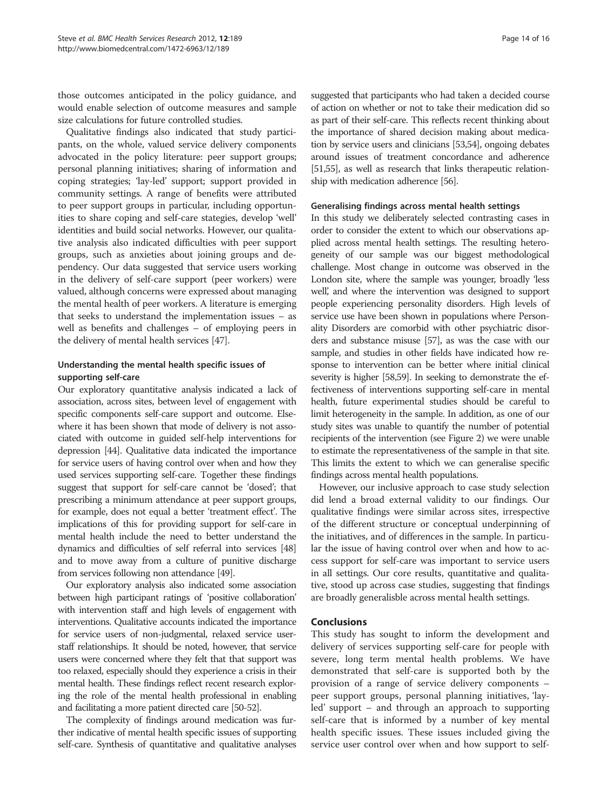those outcomes anticipated in the policy guidance, and would enable selection of outcome measures and sample size calculations for future controlled studies.

Qualitative findings also indicated that study participants, on the whole, valued service delivery components advocated in the policy literature: peer support groups; personal planning initiatives; sharing of information and coping strategies; 'lay-led' support; support provided in community settings. A range of benefits were attributed to peer support groups in particular, including opportunities to share coping and self-care stategies, develop 'well' identities and build social networks. However, our qualitative analysis also indicated difficulties with peer support groups, such as anxieties about joining groups and dependency. Our data suggested that service users working in the delivery of self-care support (peer workers) were valued, although concerns were expressed about managing the mental health of peer workers. A literature is emerging that seeks to understand the implementation issues – as well as benefits and challenges – of employing peers in the delivery of mental health services [\[47\]](#page-16-0).

## Understanding the mental health specific issues of supporting self-care

Our exploratory quantitative analysis indicated a lack of association, across sites, between level of engagement with specific components self-care support and outcome. Elsewhere it has been shown that mode of delivery is not associated with outcome in guided self-help interventions for depression [\[44\]](#page-16-0). Qualitative data indicated the importance for service users of having control over when and how they used services supporting self-care. Together these findings suggest that support for self-care cannot be 'dosed'; that prescribing a minimum attendance at peer support groups, for example, does not equal a better 'treatment effect'. The implications of this for providing support for self-care in mental health include the need to better understand the dynamics and difficulties of self referral into services [\[48](#page-16-0)] and to move away from a culture of punitive discharge from services following non attendance [[49](#page-16-0)].

Our exploratory analysis also indicated some association between high participant ratings of 'positive collaboration' with intervention staff and high levels of engagement with interventions. Qualitative accounts indicated the importance for service users of non-judgmental, relaxed service userstaff relationships. It should be noted, however, that service users were concerned where they felt that that support was too relaxed, especially should they experience a crisis in their mental health. These findings reflect recent research exploring the role of the mental health professional in enabling and facilitating a more patient directed care [\[50-52](#page-16-0)].

The complexity of findings around medication was further indicative of mental health specific issues of supporting self-care. Synthesis of quantitative and qualitative analyses

suggested that participants who had taken a decided course of action on whether or not to take their medication did so as part of their self-care. This reflects recent thinking about the importance of shared decision making about medication by service users and clinicians [\[53,54](#page-16-0)], ongoing debates around issues of treatment concordance and adherence [[51,55](#page-16-0)], as well as research that links therapeutic relationship with medication adherence [[56](#page-16-0)].

#### Generalising findings across mental health settings

In this study we deliberately selected contrasting cases in order to consider the extent to which our observations applied across mental health settings. The resulting heterogeneity of our sample was our biggest methodological challenge. Most change in outcome was observed in the London site, where the sample was younger, broadly 'less well', and where the intervention was designed to support people experiencing personality disorders. High levels of service use have been shown in populations where Personality Disorders are comorbid with other psychiatric disorders and substance misuse [\[57](#page-16-0)], as was the case with our sample, and studies in other fields have indicated how response to intervention can be better where initial clinical severity is higher [\[58,59](#page-16-0)]. In seeking to demonstrate the effectiveness of interventions supporting self-care in mental health, future experimental studies should be careful to limit heterogeneity in the sample. In addition, as one of our study sites was unable to quantify the number of potential recipients of the intervention (see Figure [2](#page-7-0)) we were unable to estimate the representativeness of the sample in that site. This limits the extent to which we can generalise specific findings across mental health populations.

However, our inclusive approach to case study selection did lend a broad external validity to our findings. Our qualitative findings were similar across sites, irrespective of the different structure or conceptual underpinning of the initiatives, and of differences in the sample. In particular the issue of having control over when and how to access support for self-care was important to service users in all settings. Our core results, quantitative and qualitative, stood up across case studies, suggesting that findings are broadly generalisble across mental health settings.

#### Conclusions

This study has sought to inform the development and delivery of services supporting self-care for people with severe, long term mental health problems. We have demonstrated that self-care is supported both by the provision of a range of service delivery components – peer support groups, personal planning initiatives, 'layled' support – and through an approach to supporting self-care that is informed by a number of key mental health specific issues. These issues included giving the service user control over when and how support to self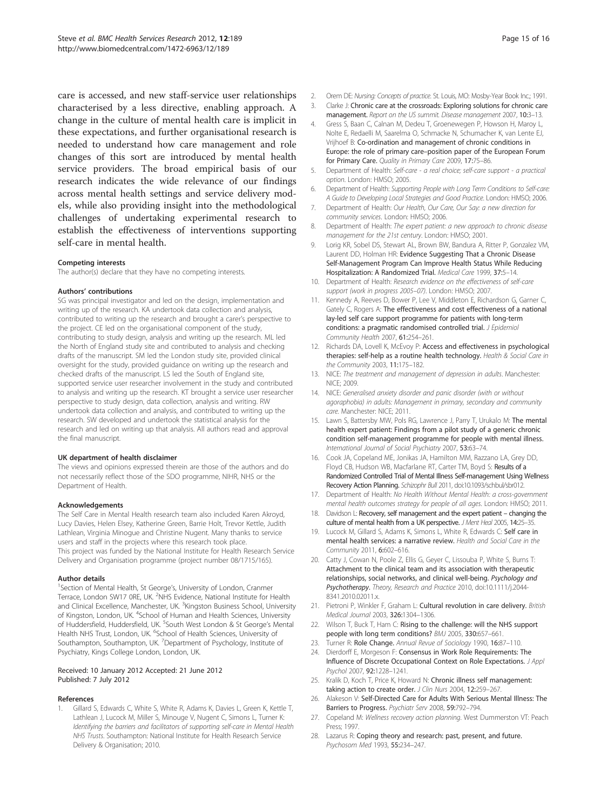<span id="page-15-0"></span>care is accessed, and new staff-service user relationships characterised by a less directive, enabling approach. A change in the culture of mental health care is implicit in these expectations, and further organisational research is needed to understand how care management and role changes of this sort are introduced by mental health service providers. The broad empirical basis of our research indicates the wide relevance of our findings across mental health settings and service delivery models, while also providing insight into the methodological challenges of undertaking experimental research to establish the effectiveness of interventions supporting self-care in mental health.

#### Competing interests

The author(s) declare that they have no competing interests.

#### Authors' contributions

SG was principal investigator and led on the design, implementation and writing up of the research. KA undertook data collection and analysis, contributed to writing up the research and brought a carer's perspective to the project. CE led on the organisational component of the study, contributing to study design, analysis and writing up the research. ML led the North of England study site and contributed to analysis and checking drafts of the manuscript. SM led the London study site, provided clinical oversight for the study, provided guidance on writing up the research and checked drafts of the manuscript. LS led the South of England site, supported service user researcher involvement in the study and contributed to analysis and writing up the research. KT brought a service user researcher perspective to study design, data collection, analysis and writing. RW undertook data collection and analysis, and contributed to writing up the research. SW developed and undertook the statistical analysis for the research and led on writing up that analysis. All authors read and approval the final manuscript.

#### UK department of health disclaimer

The views and opinions expressed therein are those of the authors and do not necessarily reflect those of the SDO programme, NIHR, NHS or the Department of Health.

#### Acknowledgements

The Self Care in Mental Health research team also included Karen Akroyd, Lucy Davies, Helen Elsey, Katherine Green, Barrie Holt, Trevor Kettle, Judith Lathlean, Virginia Minogue and Christine Nugent. Many thanks to service users and staff in the projects where this research took place. This project was funded by the National Institute for Health Research Service Delivery and Organisation programme (project number 08/1715/165).

#### Author details

<sup>1</sup>Section of Mental Health, St George's, University of London, Cranmer Terrace, London SW17 0RE, UK. <sup>2</sup>NHS Evidence, National Institute for Health and Clinical Excellence, Manchester, UK. <sup>3</sup>Kingston Business School, University of Kingston, London, UK. <sup>4</sup>School of Human and Health Sciences, University of Huddersfield, Huddersfield, UK. <sup>5</sup>South West London & St George's Mental Health NHS Trust, London, UK. <sup>6</sup>School of Health Sciences, University of Southampton, Southampton, UK. <sup>7</sup>Department of Psychology, Institute of Psychiatry, Kings College London, London, UK.

#### Received: 10 January 2012 Accepted: 21 June 2012 Published: 7 July 2012

## References

Gillard S, Edwards C, White S, White R, Adams K, Davies L, Green K, Kettle T, Lathlean J, Lucock M, Miller S, Minouge V, Nugent C, Simons L, Turner K: Identifying the barriers and facilitators of supporting self-care in Mental Health NHS Trusts. Southampton: National Institute for Health Research Service Delivery & Organisation; 2010.

- 2. Orem DE: Nursing: Concepts of practice. St. Louis, MO: Mosby-Year Book Inc.; 1991.
- 3. Clarke J: Chronic care at the crossroads: Exploring solutions for chronic care management. Report on the US summit. Disease management 2007, 10:3-13.
- 4. Gress S, Baan C, Calnan M, Dedeu T, Groenewegen P, Howson H, Maroy L, Nolte E, Redaelli M, Saarelma O, Schmacke N, Schumacher K, van Lente EJ, Vrijhoef B: Co-ordination and management of chronic conditions in Europe: the role of primary care–position paper of the European Forum for Primary Care. Quality in Primary Care 2009, 17:75-86.
- 5. Department of Health: Self-care a real choice; self-care support a practical option. London: HMSO; 2005.
- 6. Department of Health: Supporting People with Long Term Conditions to Self-care: A Guide to Developing Local Strategies and Good Practice. London: HMSO; 2006.
- Department of Health: Our Health, Our Care, Our Say: a new direction for community services. London: HMSO; 2006.
- 8. Department of Health: The expert patient: a new approach to chronic disease management for the 21st century. London: HMSO; 2001.
- 9. Lorig KR, Sobel DS, Stewart AL, Brown BW, Bandura A, Ritter P, Gonzalez VM, Laurent DD, Holman HR: Evidence Suggesting That a Chronic Disease Self-Management Program Can Improve Health Status While Reducing Hospitalization: A Randomized Trial. Medical Care 1999, 37:5–14.
- 10. Department of Health: Research evidence on the effectiveness of self-care support (work in progress 2005–07). London: HMSO; 2007.
- 11. Kennedy A, Reeves D, Bower P, Lee V, Middleton E, Richardson G, Garner C, Gately C, Rogers A: The effectiveness and cost effectiveness of a national lay-led self care support programme for patients with long-term conditions: a pragmatic randomised controlled trial. J Epidemiol Community Health 2007, 61:254–261.
- 12. Richards DA, Lovell K, McEvoy P: Access and effectiveness in psychological therapies: self-help as a routine health technology. Health & Social Care in the Community 2003, 11:175–182.
- 13. NICE: The treatment and management of depression in adults. Manchester: NICE; 2009.
- 14. NICE: Generalised anxiety disorder and panic disorder (with or without agoraphobia) in adults: Management in primary, secondary and community care. Manchester: NICE; 2011.
- 15. Lawn S, Battersby MW, Pols RG, Lawrence J, Parry T, Urukalo M: The mental health expert patient: Findings from a pilot study of a generic chronic condition self-management programme for people with mental illness. International Journal of Social Psychiatry 2007, 53:63–74.
- 16. Cook JA, Copeland ME, Jonikas JA, Hamilton MM, Razzano LA, Grey DD, Floyd CB, Hudson WB, Macfarlane RT, Carter TM, Boyd S: Results of a Randomized Controlled Trial of Mental Illness Self-management Using Wellness Recovery Action Planning. Schizophr Bull 2011, doi:[10.1093/schbul/sbr012.](http://dx.doi.org/10.1093/schbul/sbr012)
- 17. Department of Health: No Health Without Mental Health: a cross-government mental health outcomes strategy for people of all ages. London: HMSO; 2011.
- Davidson L: Recovery, self management and the expert patient changing the culture of mental health from a UK perspective. J Ment Heal 2005, 14:25–35.
- 19. Lucock M, Gillard S, Adams K, Simons L, White R, Edwards C: Self care in mental health services: a narrative review. Health and Social Care in the Community 2011, 6:602-616.
- 20. Catty J, Cowan N, Poole Z, Ellis G, Geyer C, Lissouba P, White S, Burns T: Attachment to the clinical team and its association with therapeutic relationships, social networks, and clinical well-being. Psychology and Psychotherapy. Theory, Research and Practice 2010, doi:[10.1111/j.2044-](http://dx.doi.org/10.1111/j.2044-8341.2010.02011.x) [8341.2010.02011.x.](http://dx.doi.org/10.1111/j.2044-8341.2010.02011.x)
- 21. Pietroni P, Winkler F, Graham L: Cultural revolution in care delivery. British Medical Journal 2003, 326:1304–1306.
- 22. Wilson T, Buck T, Ham C: Rising to the challenge: will the NHS support people with long term conditions? BMJ 2005, 330:657–661.
- 23. Turner R: Role Change. Annual Revue of Sociology 1990, 16:87-110.
- 24. Dierdorff E, Morgeson F: Consensus in Work Role Requirements: The Influence of Discrete Occupational Context on Role Expectations. J Appl Psychol 2007, 92:1228–1241.
- 25. Kralik D, Koch T, Price K, Howard N: Chronic illness self management: taking action to create order. J Clin Nurs 2004, 12:259-267.
- 26. Alakeson V: Self-Directed Care for Adults With Serious Mental Illness: The Barriers to Progress. Psychiatr Serv 2008, 59:792-794.
- 27. Copeland M: Wellness recovery action planning. West Dummerston VT: Peach Press; 1997.
- 28. Lazarus R: Coping theory and research: past, present, and future. Psychosom Med 1993, 55:234–247.